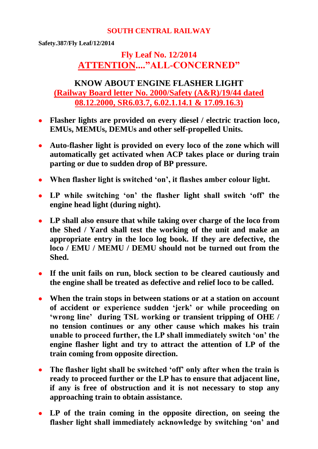## **SOUTH CENTRAL RAILWAY**

**Safety.387/Fly Leaf/12/2014**

## **Fly Leaf No. 12/2014 ATTENTION...."ALL-CONCERNED"**

## **KNOW ABOUT ENGINE FLASHER LIGHT (Railway Board letter No. 2000/Safety (A&R)/19/44 dated 08.12.2000, SR6.03.7, 6.02.1.14.1 & 17.09.16.3)**

- **Flasher lights are provided on every diesel / electric traction loco, EMUs, MEMUs, DEMUs and other self-propelled Units.**
- **Auto-flasher light is provided on every loco of the zone which will automatically get activated when ACP takes place or during train parting or due to sudden drop of BP pressure.**
- **When flasher light is switched 'on', it flashes amber colour light.**
- **LP while switching 'on' the flasher light shall switch 'off' the engine head light (during night).**
- **LP shall also ensure that while taking over charge of the loco from the Shed / Yard shall test the working of the unit and make an appropriate entry in the loco log book. If they are defective, the loco / EMU / MEMU / DEMU should not be turned out from the Shed.**
- **If the unit fails on run, block section to be cleared cautiously and the engine shall be treated as defective and relief loco to be called.**
- **When the train stops in between stations or at a station on account of accident or experience sudden 'jerk' or while proceeding on 'wrong line' during TSL working or transient tripping of OHE / no tension continues or any other cause which makes his train unable to proceed further, the LP shall immediately switch 'on' the engine flasher light and try to attract the attention of LP of the train coming from opposite direction.**
- **The flasher light shall be switched 'off' only after when the train is**   $\bullet$ **ready to proceed further or the LP has to ensure that adjacent line, if any is free of obstruction and it is not necessary to stop any approaching train to obtain assistance.**
- **LP of the train coming in the opposite direction, on seeing the flasher light shall immediately acknowledge by switching 'on' and**